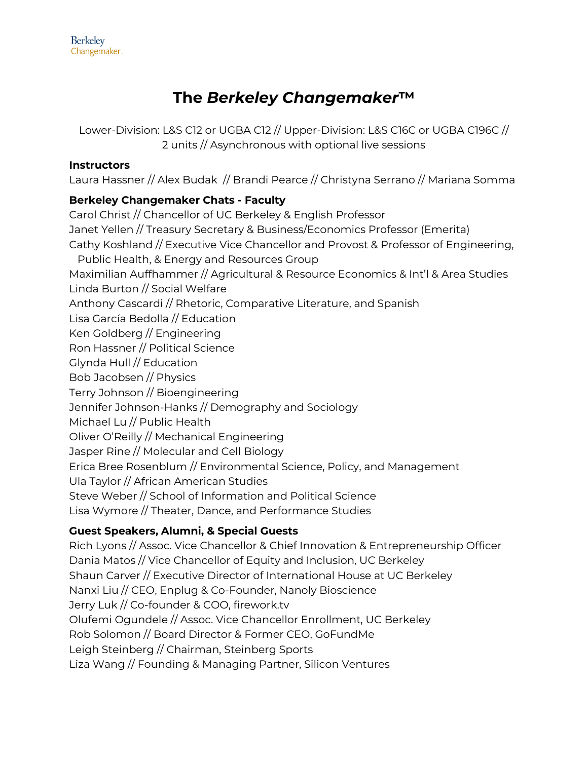# **The** *Berkeley Changemaker***™**

Lower-Division: L&S C12 or UGBA C12 // Upper-Division: L&S C16C or UGBA C196C // 2 units // Asynchronous with optional live sessions

## **Instructors**

Laura Hassner // Alex Budak // Brandi Pearce // Christyna Serrano // Mariana Somma

## **Berkeley Changemaker Chats - Faculty**

Carol Christ // Chancellor of UC Berkeley & English Professor Janet Yellen // Treasury Secretary & Business/Economics Professor (Emerita) Cathy Koshland // Executive Vice Chancellor and Provost & Professor of Engineering, Public Health, & Energy and Resources Group Maximilian Auffhammer // Agricultural & Resource Economics & Int'l & Area Studies Linda Burton // Social Welfare Anthony Cascardi // Rhetoric, Comparative Literature, and Spanish Lisa García Bedolla // Education Ken Goldberg // Engineering Ron Hassner // Political Science Glynda Hull // Education Bob Jacobsen // Physics Terry Johnson // Bioengineering Jennifer Johnson-Hanks // Demography and Sociology Michael Lu // Public Health Oliver O'Reilly // Mechanical Engineering Jasper Rine // Molecular and Cell Biology Erica Bree Rosenblum // Environmental Science, Policy, and Management Ula Taylor // African American Studies Steve Weber // School of Information and Political Science Lisa Wymore // Theater, Dance, and Performance Studies

## **Guest Speakers, Alumni, & Special Guests**

Rich Lyons // Assoc. Vice Chancellor & Chief Innovation & Entrepreneurship Officer Dania Matos // Vice Chancellor of Equity and Inclusion, UC Berkeley Shaun Carver // Executive Director of International House at UC Berkeley Nanxi Liu // CEO, Enplug & Co-Founder, Nanoly Bioscience Jerry Luk // Co-founder & COO, firework.tv Olufemi Ogundele // Assoc. Vice Chancellor Enrollment, UC Berkeley Rob Solomon // Board Director & Former CEO, GoFundMe Leigh Steinberg // Chairman, Steinberg Sports Liza Wang // Founding & Managing Partner, Silicon Ventures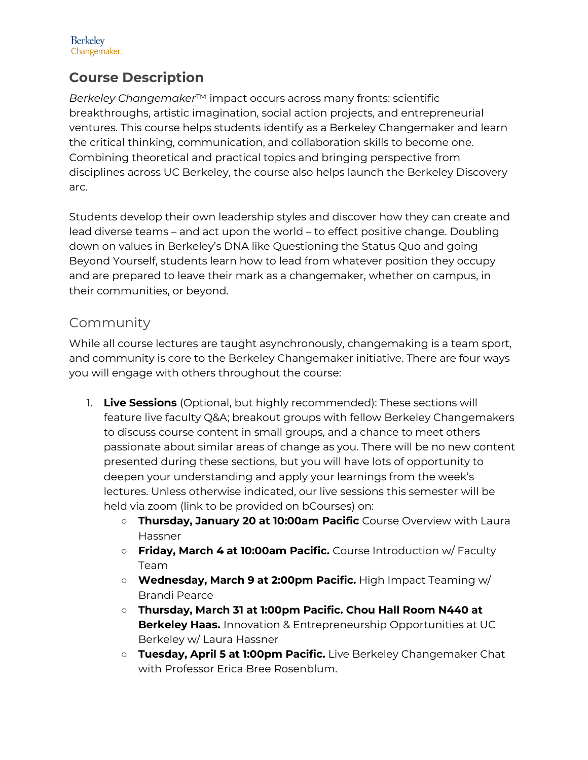

## **Course Description**

*Berkeley Changemaker*™ impact occurs across many fronts: scientific breakthroughs, artistic imagination, social action projects, and entrepreneurial ventures. This course helps students identify as a Berkeley Changemaker and learn the critical thinking, communication, and collaboration skills to become one. Combining theoretical and practical topics and bringing perspective from disciplines across UC Berkeley, the course also helps launch the Berkeley Discovery arc.

Students develop their own leadership styles and discover how they can create and lead diverse teams – and act upon the world – to effect positive change. Doubling down on values in Berkeley's DNA like Questioning the Status Quo and going Beyond Yourself, students learn how to lead from whatever position they occupy and are prepared to leave their mark as a changemaker, whether on campus, in their communities, or beyond.

## Community

While all course lectures are taught asynchronously, changemaking is a team sport, and community is core to the Berkeley Changemaker initiative. There are four ways you will engage with others throughout the course:

- 1. **Live Sessions** (Optional, but highly recommended): These sections will feature live faculty Q&A; breakout groups with fellow Berkeley Changemakers to discuss course content in small groups, and a chance to meet others passionate about similar areas of change as you. There will be no new content presented during these sections, but you will have lots of opportunity to deepen your understanding and apply your learnings from the week's lectures. Unless otherwise indicated, our live sessions this semester will be held via zoom (link to be provided on bCourses) on:
	- **Thursday, January 20 at 10:00am Pacific** Course Overview with Laura Hassner
	- **Friday, March 4 at 10:00am Pacific.** Course Introduction w/ Faculty Team
	- **Wednesday, March 9 at 2:00pm Pacific.** High Impact Teaming w/ Brandi Pearce
	- **Thursday, March 31 at 1:00pm Pacific. Chou Hall Room N440 at Berkeley Haas.** Innovation & Entrepreneurship Opportunities at UC Berkeley w/ Laura Hassner
	- **Tuesday, April 5 at 1:00pm Pacific.** Live Berkeley Changemaker Chat with Professor Erica Bree Rosenblum.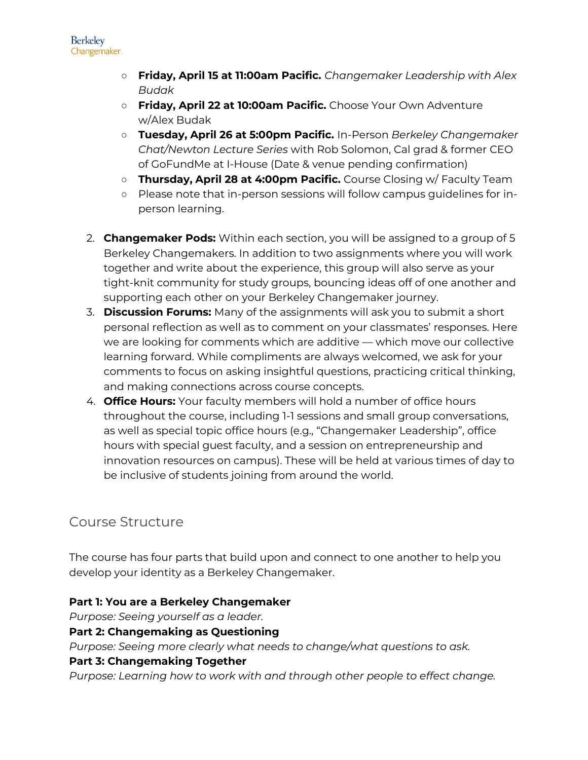- **Friday, April 15 at 11:00am Pacific.** *Changemaker Leadership with Alex Budak*
- **Friday, April 22 at 10:00am Pacific.** Choose Your Own Adventure w/Alex Budak
- **Tuesday, April 26 at 5:00pm Pacific.** In-Person *Berkeley Changemaker Chat/Newton Lecture Series* with Rob Solomon, Cal grad & former CEO of GoFundMe at I-House (Date & venue pending confirmation)
- **Thursday, April 28 at 4:00pm Pacific.** Course Closing w/ Faculty Team
- Please note that in-person sessions will follow campus guidelines for inperson learning.
- 2. **Changemaker Pods:** Within each section, you will be assigned to a group of 5 Berkeley Changemakers. In addition to two assignments where you will work together and write about the experience, this group will also serve as your tight-knit community for study groups, bouncing ideas off of one another and supporting each other on your Berkeley Changemaker journey.
- 3. **Discussion Forums:** Many of the assignments will ask you to submit a short personal reflection as well as to comment on your classmates' responses. Here we are looking for comments which are additive — which move our collective learning forward. While compliments are always welcomed, we ask for your comments to focus on asking insightful questions, practicing critical thinking, and making connections across course concepts.
- 4. **Office Hours:** Your faculty members will hold a number of office hours throughout the course, including 1-1 sessions and small group conversations, as well as special topic office hours (e.g., "Changemaker Leadership", office hours with special guest faculty, and a session on entrepreneurship and innovation resources on campus). These will be held at various times of day to be inclusive of students joining from around the world.

## Course Structure

The course has four parts that build upon and connect to one another to help you develop your identity as a Berkeley Changemaker.

## **Part 1: You are a Berkeley Changemaker**

*Purpose: Seeing yourself as a leader.*

## **Part 2: Changemaking as Questioning**

*Purpose: Seeing more clearly what needs to change/what questions to ask.*

## **Part 3: Changemaking Together**

*Purpose: Learning how to work with and through other people to effect change.*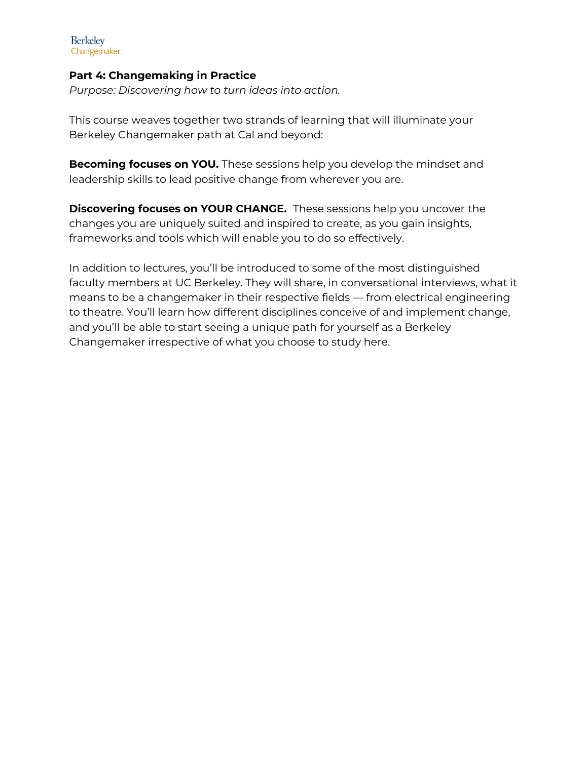## **Part 4: Changemaking in Practice**

*Purpose: Discovering how to turn ideas into action.*

This course weaves together two strands of learning that will illuminate your Berkeley Changemaker path at Cal and beyond:

**Becoming focuses on YOU.** These sessions help you develop the mindset and leadership skills to lead positive change from wherever you are.

**Discovering focuses on YOUR CHANGE.** These sessions help you uncover the changes you are uniquely suited and inspired to create, as you gain insights, frameworks and tools which will enable you to do so effectively.

In addition to lectures, you'll be introduced to some of the most distinguished faculty members at UC Berkeley. They will share, in conversational interviews, what it means to be a changemaker in their respective fields — from electrical engineering to theatre. You'll learn how different disciplines conceive of and implement change, and you'll be able to start seeing a unique path for yourself as a Berkeley Changemaker irrespective of what you choose to study here.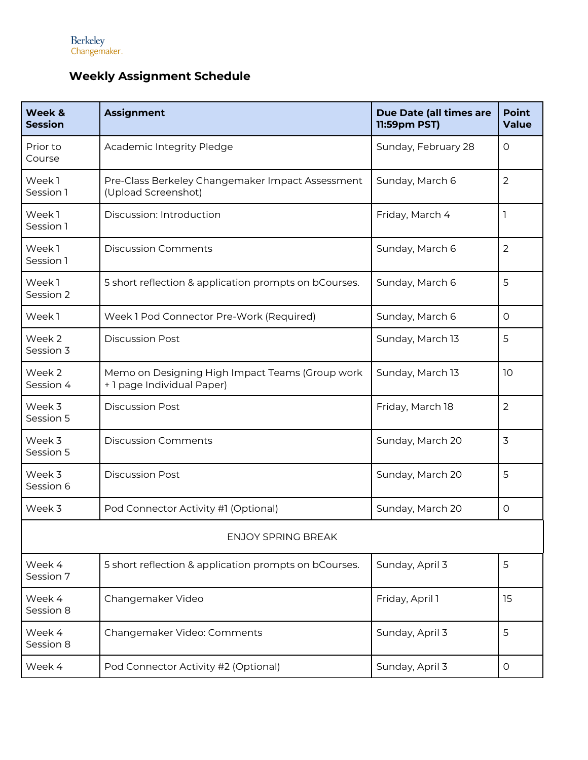## **Weekly Assignment Schedule**

| Week &<br><b>Session</b>  | <b>Assignment</b>                                                             | Due Date (all times are<br>11:59pm PST) | <b>Point</b><br><b>Value</b> |  |  |
|---------------------------|-------------------------------------------------------------------------------|-----------------------------------------|------------------------------|--|--|
| Prior to<br>Course        | Academic Integrity Pledge                                                     | Sunday, February 28                     | O                            |  |  |
| Week1<br>Session 1        | Pre-Class Berkeley Changemaker Impact Assessment<br>(Upload Screenshot)       | Sunday, March 6                         | $\overline{2}$               |  |  |
| Week1<br>Session 1        | Discussion: Introduction                                                      | Friday, March 4                         | 1                            |  |  |
| Week1<br>Session 1        | <b>Discussion Comments</b>                                                    | Sunday, March 6                         | $\overline{2}$               |  |  |
| Week1<br>Session 2        | 5 short reflection & application prompts on bCourses.                         | Sunday, March 6                         | 5                            |  |  |
| Week1                     | Week 1 Pod Connector Pre-Work (Required)                                      | Sunday, March 6                         | O                            |  |  |
| Week 2<br>Session 3       | <b>Discussion Post</b>                                                        | Sunday, March 13                        | 5                            |  |  |
| Week 2<br>Session 4       | Memo on Designing High Impact Teams (Group work<br>+ 1 page Individual Paper) | Sunday, March 13                        | 10                           |  |  |
| Week 3<br>Session 5       | <b>Discussion Post</b>                                                        | Friday, March 18                        | $\overline{2}$               |  |  |
| Week 3<br>Session 5       | <b>Discussion Comments</b>                                                    | Sunday, March 20                        | 3                            |  |  |
| Week 3<br>Session 6       | <b>Discussion Post</b>                                                        | Sunday, March 20                        | 5                            |  |  |
| Week 3                    | Pod Connector Activity #1 (Optional)                                          | Sunday, March 20                        | $\circ$                      |  |  |
| <b>ENJOY SPRING BREAK</b> |                                                                               |                                         |                              |  |  |
| Week 4<br>Session 7       | 5 short reflection & application prompts on bCourses.                         | Sunday, April 3                         | 5                            |  |  |
| Week 4<br>Session 8       | Changemaker Video                                                             | Friday, April 1                         | 15                           |  |  |
| Week 4<br>Session 8       | Changemaker Video: Comments                                                   | Sunday, April 3                         | 5                            |  |  |
| Week 4                    | Pod Connector Activity #2 (Optional)                                          | Sunday, April 3                         | 0                            |  |  |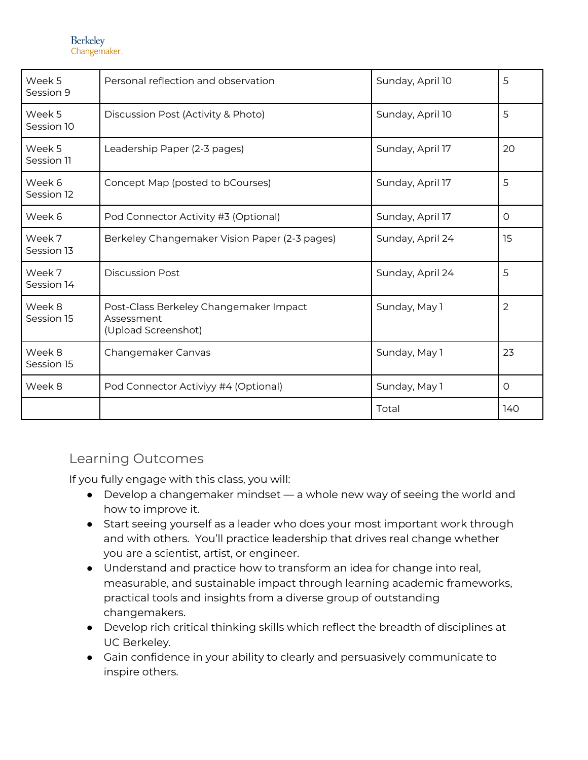| Week 5<br>Session 9  | Personal reflection and observation                                         | Sunday, April 10 | 5              |
|----------------------|-----------------------------------------------------------------------------|------------------|----------------|
| Week 5<br>Session 10 | Discussion Post (Activity & Photo)                                          | Sunday, April 10 | 5              |
| Week 5<br>Session 11 | Leadership Paper (2-3 pages)                                                | Sunday, April 17 | 20             |
| Week 6<br>Session 12 | Concept Map (posted to bCourses)                                            | Sunday, April 17 | 5              |
| Week 6               | Pod Connector Activity #3 (Optional)                                        | Sunday, April 17 | $\circ$        |
| Week 7<br>Session 13 | Berkeley Changemaker Vision Paper (2-3 pages)                               | Sunday, April 24 | 15             |
| Week 7<br>Session 14 | <b>Discussion Post</b>                                                      | Sunday, April 24 | 5              |
| Week 8<br>Session 15 | Post-Class Berkeley Changemaker Impact<br>Assessment<br>(Upload Screenshot) | Sunday, May 1    | $\overline{2}$ |
| Week 8<br>Session 15 | Changemaker Canvas                                                          | Sunday, May 1    | 23             |
| Week 8               | Pod Connector Activiyy #4 (Optional)                                        | Sunday, May 1    | $\circ$        |
|                      |                                                                             | Total            | 140            |

## Learning Outcomes

If you fully engage with this class, you will:

- Develop a changemaker mindset a whole new way of seeing the world and how to improve it.
- Start seeing yourself as a leader who does your most important work through and with others. You'll practice leadership that drives real change whether you are a scientist, artist, or engineer.
- Understand and practice how to transform an idea for change into real, measurable, and sustainable impact through learning academic frameworks, practical tools and insights from a diverse group of outstanding changemakers.
- Develop rich critical thinking skills which reflect the breadth of disciplines at UC Berkeley.
- Gain confidence in your ability to clearly and persuasively communicate to inspire others.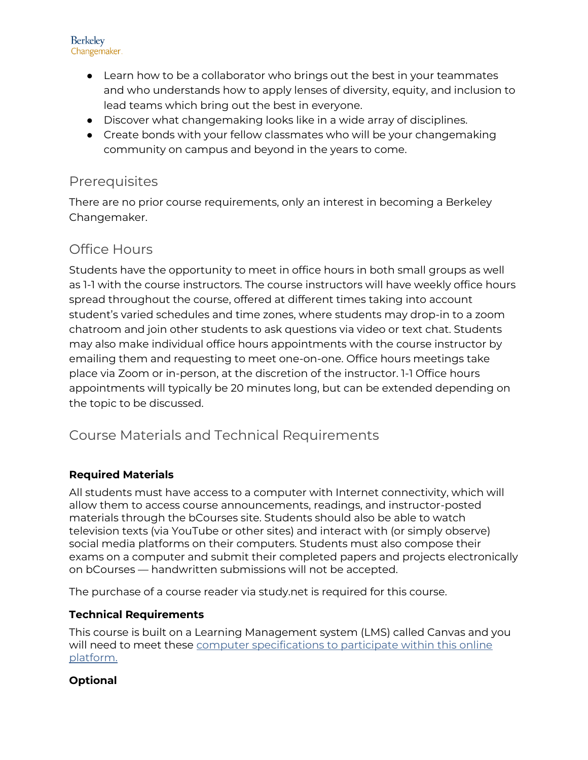

- Learn how to be a collaborator who brings out the best in your teammates and who understands how to apply lenses of diversity, equity, and inclusion to lead teams which bring out the best in everyone.
- Discover what changemaking looks like in a wide array of disciplines.
- Create bonds with your fellow classmates who will be your changemaking community on campus and beyond in the years to come.

## **Prerequisites**

There are no prior course requirements, only an interest in becoming a Berkeley Changemaker.

## Office Hours

Students have the opportunity to meet in office hours in both small groups as well as 1-1 with the course instructors. The course instructors will have weekly office hours spread throughout the course, offered at different times taking into account student's varied schedules and time zones, where students may drop-in to a zoom chatroom and join other students to ask questions via video or text chat. Students may also make individual office hours appointments with the course instructor by emailing them and requesting to meet one-on-one. Office hours meetings take place via Zoom or in-person, at the discretion of the instructor. 1-1 Office hours appointments will typically be 20 minutes long, but can be extended depending on the topic to be discussed.

## Course Materials and Technical Requirements

## **Required Materials**

All students must have access to a computer with Internet connectivity, which will allow them to access course announcements, readings, and instructor-posted materials through the bCourses site. Students should also be able to watch television texts (via YouTube or other sites) and interact with (or simply observe) social media platforms on their computers. Students must also compose their exams on a computer and submit their completed papers and projects electronically on bCourses — handwritten submissions will not be accepted.

The purchase of a course reader via study.net is required for this course.

## **Technical Requirements**

This course is built on a Learning Management system (LMS) called Canvas and you will need to meet these [computer specifications to participate within this online](http://guides.instructure.com/s/2204/m/4214/l/82542-what-are-the-basic-computer-specifications-for-canvas)  [platform.](http://guides.instructure.com/s/2204/m/4214/l/82542-what-are-the-basic-computer-specifications-for-canvas) 

## **Optional**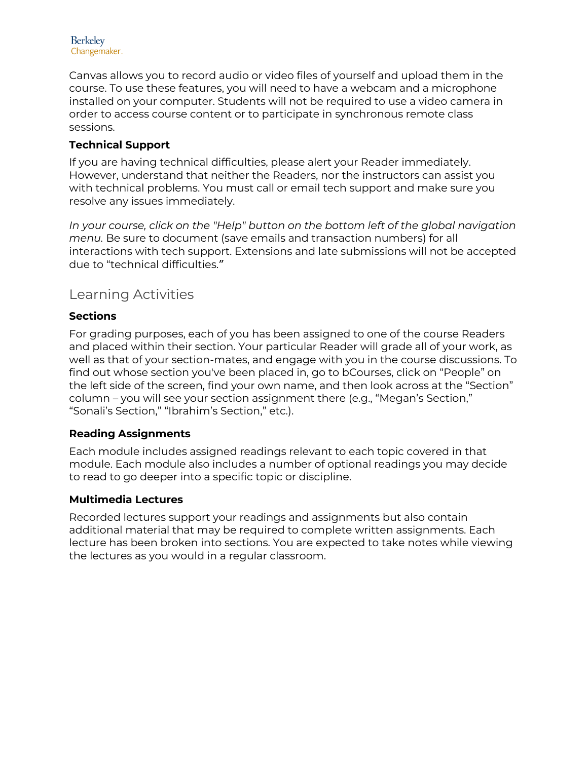

Canvas allows you to record audio or video files of yourself and upload them in the course. To use these features, you will need to have a webcam and a microphone installed on your computer. Students will not be required to use a video camera in order to access course content or to participate in synchronous remote class sessions.

## **Technical Support**

If you are having technical difficulties, please alert your Reader immediately. However, understand that neither the Readers, nor the instructors can assist you with technical problems. You must call or email tech support and make sure you resolve any issues immediately.

*In your course, click on the "Help" button on the bottom left of the global navigation menu.* Be sure to document (save emails and transaction numbers) for all interactions with tech support. Extensions and late submissions will not be accepted due to "technical difficulties."

## Learning Activities

## **Sections**

For grading purposes, each of you has been assigned to one of the course Readers and placed within their section. Your particular Reader will grade all of your work, as well as that of your section-mates, and engage with you in the course discussions. To find out whose section you've been placed in, go to bCourses, click on "People" on the left side of the screen, find your own name, and then look across at the "Section" column – you will see your section assignment there (e.g., "Megan's Section," "Sonali's Section," "Ibrahim's Section," etc.).

## **Reading Assignments**

Each module includes assigned readings relevant to each topic covered in that module. Each module also includes a number of optional readings you may decide to read to go deeper into a specific topic or discipline.

## **Multimedia Lectures**

Recorded lectures support your readings and assignments but also contain additional material that may be required to complete written assignments. Each lecture has been broken into sections. You are expected to take notes while viewing the lectures as you would in a regular classroom.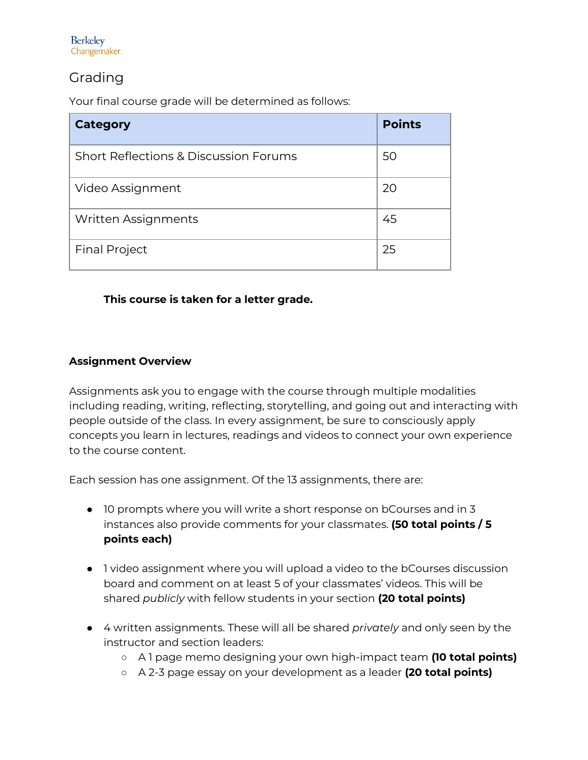## Grading

Your final course grade will be determined as follows:

| <b>Category</b>                       | <b>Points</b> |
|---------------------------------------|---------------|
| Short Reflections & Discussion Forums | 50            |
| Video Assignment                      | 20            |
| <b>Written Assignments</b>            | 45            |
| <b>Final Project</b>                  | 25            |

## **This course is taken for a letter grade.**

## **Assignment Overview**

Assignments ask you to engage with the course through multiple modalities including reading, writing, reflecting, storytelling, and going out and interacting with people outside of the class. In every assignment, be sure to consciously apply concepts you learn in lectures, readings and videos to connect your own experience to the course content.

Each session has one assignment. Of the 13 assignments, there are:

- 10 prompts where you will write a short response on bCourses and in 3 instances also provide comments for your classmates. **(50 total points / 5 points each)**
- 1 video assignment where you will upload a video to the bCourses discussion board and comment on at least 5 of your classmates' videos. This will be shared *publicly* with fellow students in your section **(20 total points)**
- 4 written assignments. These will all be shared *privately* and only seen by the instructor and section leaders:
	- A 1 page memo designing your own high-impact team **(10 total points)**
	- A 2-3 page essay on your development as a leader **(20 total points)**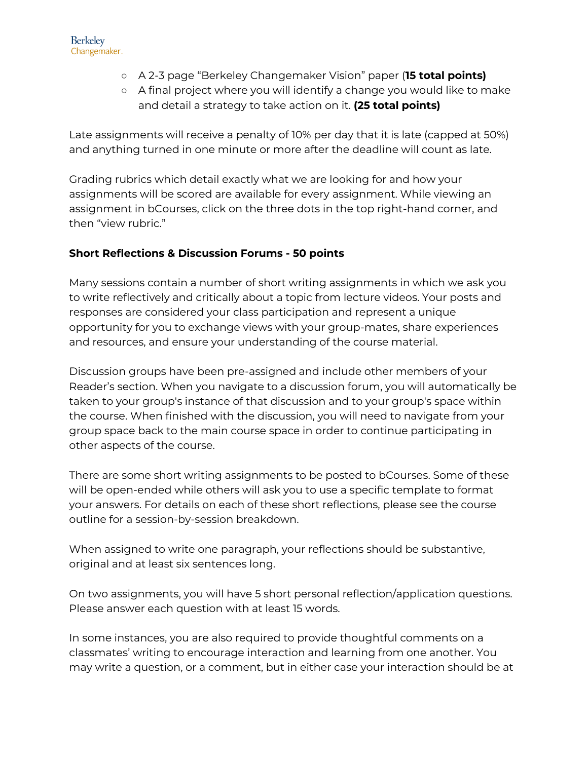- A 2-3 page "Berkeley Changemaker Vision" paper (**15 total points)**
- A final project where you will identify a change you would like to make and detail a strategy to take action on it. **(25 total points)**

Late assignments will receive a penalty of 10% per day that it is late (capped at 50%) and anything turned in one minute or more after the deadline will count as late.

Grading rubrics which detail exactly what we are looking for and how your assignments will be scored are available for every assignment. While viewing an assignment in bCourses, click on the three dots in the top right-hand corner, and then "view rubric."

## **Short Reflections & Discussion Forums - 50 points**

Many sessions contain a number of short writing assignments in which we ask you to write reflectively and critically about a topic from lecture videos. Your posts and responses are considered your class participation and represent a unique opportunity for you to exchange views with your group-mates, share experiences and resources, and ensure your understanding of the course material.

Discussion groups have been pre-assigned and include other members of your Reader's section. When you navigate to a discussion forum, you will automatically be taken to your group's instance of that discussion and to your group's space within the course. When finished with the discussion, you will need to navigate from your group space back to the main course space in order to continue participating in other aspects of the course.

There are some short writing assignments to be posted to bCourses. Some of these will be open-ended while others will ask you to use a specific template to format your answers. For details on each of these short reflections, please see the course outline for a session-by-session breakdown.

When assigned to write one paragraph, your reflections should be substantive, original and at least six sentences long.

On two assignments, you will have 5 short personal reflection/application questions. Please answer each question with at least 15 words.

In some instances, you are also required to provide thoughtful comments on a classmates' writing to encourage interaction and learning from one another. You may write a question, or a comment, but in either case your interaction should be at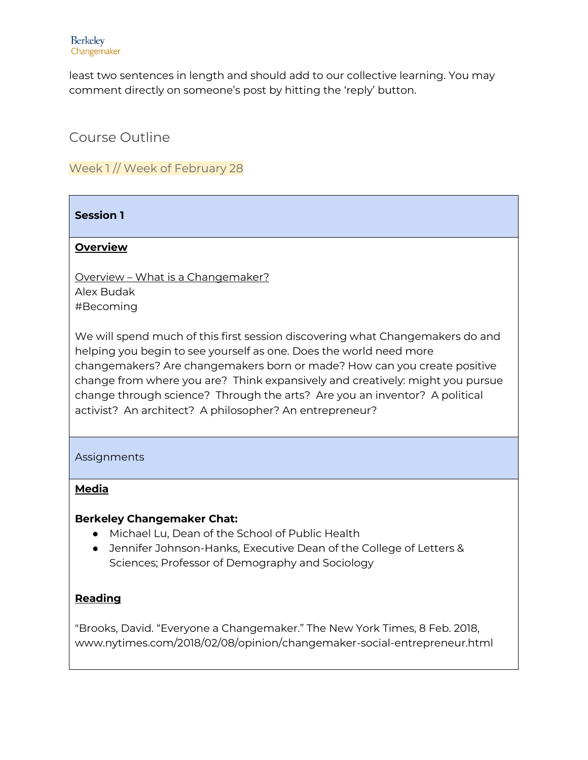least two sentences in length and should add to our collective learning. You may comment directly on someone's post by hitting the 'reply' button.

Course Outline

Week 1 // Week of February 28

## **Session 1**

## **Overview**

Overview – What is a Changemaker? Alex Budak #Becoming

We will spend much of this first session discovering what Changemakers do and helping you begin to see yourself as one. Does the world need more changemakers? Are changemakers born or made? How can you create positive change from where you are? Think expansively and creatively: might you pursue change through science? Through the arts? Are you an inventor? A political activist? An architect? A philosopher? An entrepreneur?

Assignments

## **Media**

## **Berkeley Changemaker Chat:**

- Michael Lu, Dean of the School of Public Health
- Jennifer Johnson-Hanks, Executive Dean of the College of Letters & Sciences; Professor of Demography and Sociology

## **Reading**

"Brooks, David. "Everyone a Changemaker." The New York Times, 8 Feb. 2018, www.nytimes.com/2018/02/08/opinion/changemaker-social-entrepreneur.html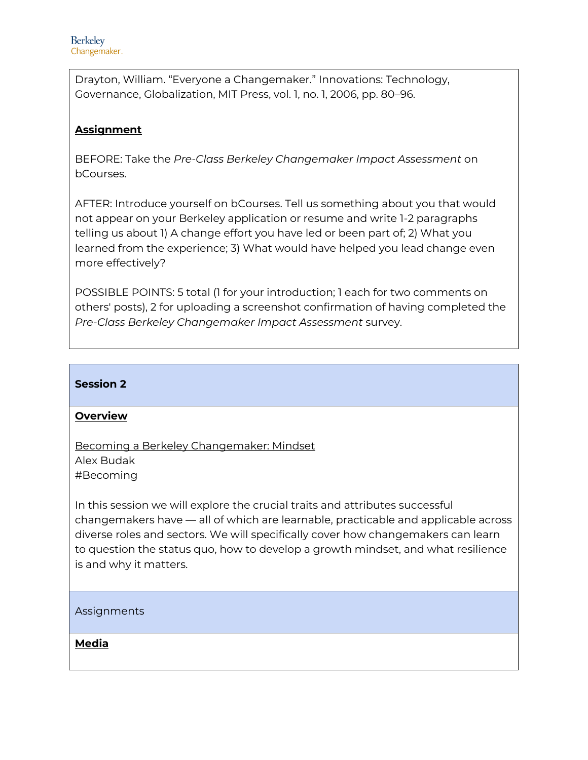Drayton, William. "Everyone a Changemaker." Innovations: Technology, Governance, Globalization, MIT Press, vol. 1, no. 1, 2006, pp. 80–96.

## **Assignment**

BEFORE: Take the *Pre-Class Berkeley Changemaker Impact Assessment* on bCourses.

AFTER: Introduce yourself on bCourses. Tell us something about you that would not appear on your Berkeley application or resume and write 1-2 paragraphs telling us about 1) A change effort you have led or been part of; 2) What you learned from the experience; 3) What would have helped you lead change even more effectively?

POSSIBLE POINTS: 5 total (1 for your introduction; 1 each for two comments on others' posts), 2 for uploading a screenshot confirmation of having completed the *Pre-Class Berkeley Changemaker Impact Assessment* survey.

## **Session 2**

## **Overview**

Becoming a Berkeley Changemaker: Mindset Alex Budak #Becoming

In this session we will explore the crucial traits and attributes successful changemakers have — all of which are learnable, practicable and applicable across diverse roles and sectors. We will specifically cover how changemakers can learn to question the status quo, how to develop a growth mindset, and what resilience is and why it matters.

## Assignments

**Media**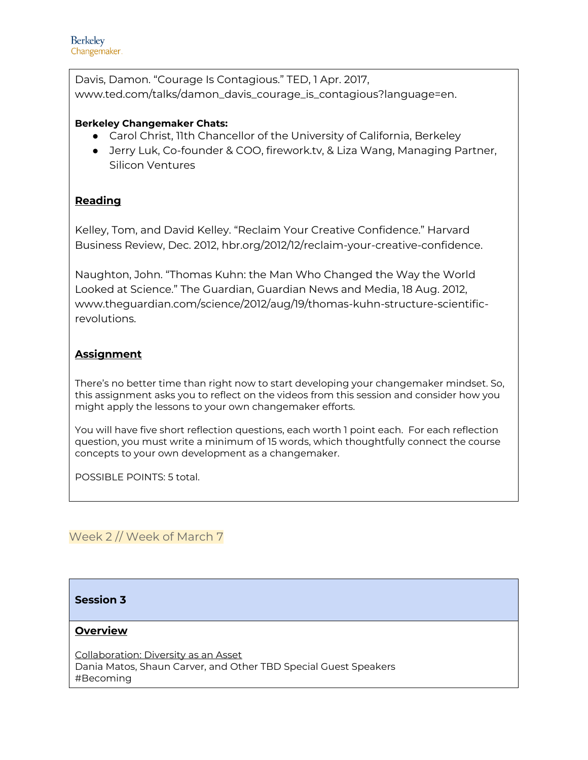Davis, Damon. "Courage Is Contagious." TED, 1 Apr. 2017, [www.ted.com/talks/damon\\_davis\\_courage\\_is\\_contagious?language=en.](http://www.ted.com/talks/damon_davis_courage_is_contagious?language=en)

#### **Berkeley Changemaker Chats:**

- Carol Christ, 11th Chancellor of the University of California, Berkeley
- Jerry Luk, Co-founder & COO, firework.tv, & Liza Wang, Managing Partner, Silicon Ventures

## **Reading**

Kelley, Tom, and David Kelley. "Reclaim Your Creative Confidence." Harvard Business Review, Dec. 2012, hbr.org/2012/12/reclaim-your-creative-confidence.

Naughton, John. "Thomas Kuhn: the Man Who Changed the Way the World Looked at Science." The Guardian, Guardian News and Media, 18 Aug. 2012, www.theguardian.com/science/2012/aug/19/thomas-kuhn-structure-scientificrevolutions.

## **Assignment**

There's no better time than right now to start developing your changemaker mindset. So, this assignment asks you to reflect on the videos from this session and consider how you might apply the lessons to your own changemaker efforts.

You will have five short reflection questions, each worth 1 point each. For each reflection question, you must write a minimum of 15 words, which thoughtfully connect the course concepts to your own development as a changemaker.

POSSIBLE POINTS: 5 total.

## Week 2 // Week of March 7

## **Session 3**

#### **Overview**

Collaboration: Diversity as an Asset Dania Matos, Shaun Carver, and Other TBD Special Guest Speakers #Becoming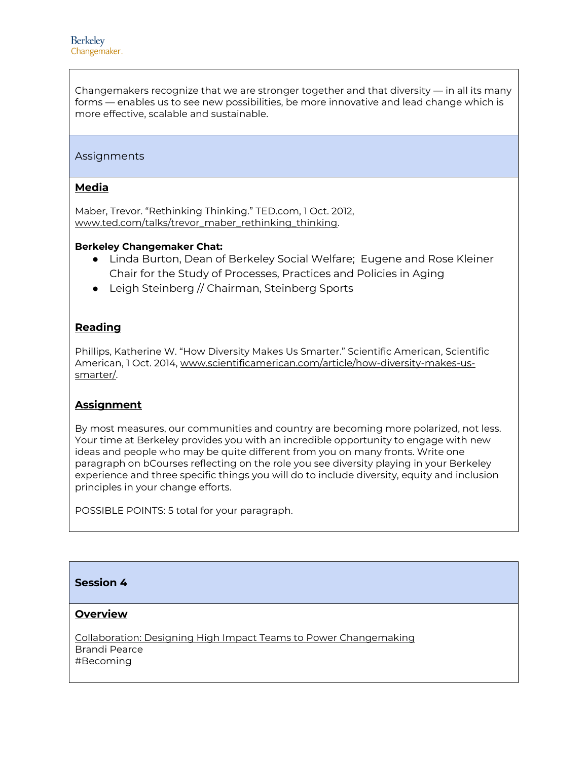Changemakers recognize that we are stronger together and that diversity — in all its many forms — enables us to see new possibilities, be more innovative and lead change which is more effective, scalable and sustainable.

#### Assignments

#### **Media**

Maber, Trevor. "Rethinking Thinking." TED.com, 1 Oct. 2012, [www.ted.com/talks/trevor\\_maber\\_rethinking\\_thinking.](http://www.ted.com/talks/trevor_maber_rethinking_thinking)

#### **Berkeley Changemaker Chat:**

- Linda Burton, Dean of Berkeley Social Welfare; Eugene and Rose Kleiner Chair for the Study of Processes, Practices and Policies in Aging
- Leigh Steinberg // Chairman, Steinberg Sports

#### **Reading**

Phillips, Katherine W. "How Diversity Makes Us Smarter." Scientific American, Scientific American, 1 Oct. 2014, [www.scientificamerican.com/article/how-diversity-makes-us](http://www.scientificamerican.com/article/how-diversity-makes-us-smarter/)[smarter/.](http://www.scientificamerican.com/article/how-diversity-makes-us-smarter/)

#### **Assignment**

By most measures, our communities and country are becoming more polarized, not less. Your time at Berkeley provides you with an incredible opportunity to engage with new ideas and people who may be quite different from you on many fronts. Write one paragraph on bCourses reflecting on the role you see diversity playing in your Berkeley experience and three specific things you will do to include diversity, equity and inclusion principles in your change efforts.

POSSIBLE POINTS: 5 total for your paragraph.

#### **Session 4**

#### **Overview**

Collaboration: Designing High Impact Teams to Power Changemaking Brandi Pearce #Becoming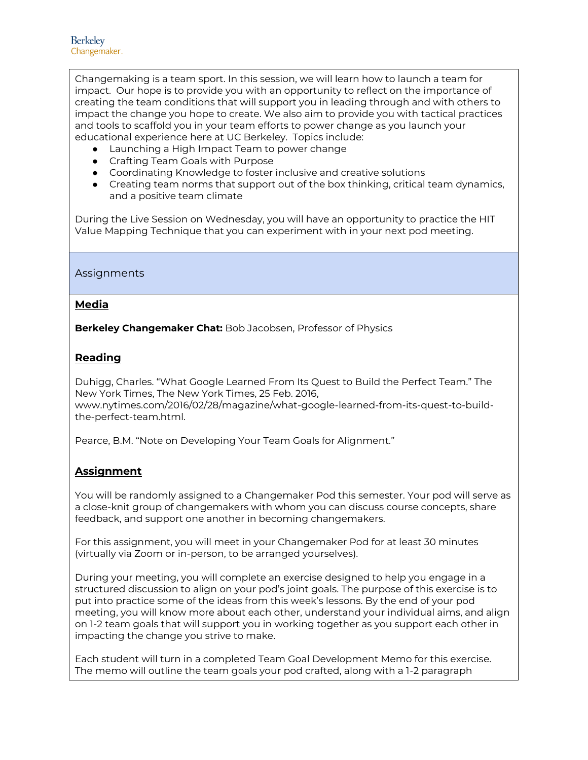Changemaking is a team sport. In this session, we will learn how to launch a team for impact. Our hope is to provide you with an opportunity to reflect on the importance of creating the team conditions that will support you in leading through and with others to impact the change you hope to create. We also aim to provide you with tactical practices and tools to scaffold you in your team efforts to power change as you launch your educational experience here at UC Berkeley. Topics include:

- Launching a High Impact Team to power change
- Crafting Team Goals with Purpose
- Coordinating Knowledge to foster inclusive and creative solutions
- Creating team norms that support out of the box thinking, critical team dynamics, and a positive team climate

During the Live Session on Wednesday, you will have an opportunity to practice the HIT Value Mapping Technique that you can experiment with in your next pod meeting.

#### Assignments

#### **Media**

**Berkeley Changemaker Chat:** Bob Jacobsen, Professor of Physics

## **Reading**

Duhigg, Charles. "What Google Learned From Its Quest to Build the Perfect Team." The New York Times, The New York Times, 25 Feb. 2016, [www.nytimes.com/2016/02/28/magazine/what-google-learned-from-its-quest-to-build](http://www.nytimes.com/2016/02/28/magazine/what-google-learned-from-its-quest-to-build-the-perfect-team.html)[the-perfect-team.html.](http://www.nytimes.com/2016/02/28/magazine/what-google-learned-from-its-quest-to-build-the-perfect-team.html)

Pearce, B.M. "Note on Developing Your Team Goals for Alignment."

## **Assignment**

You will be randomly assigned to a Changemaker Pod this semester. Your pod will serve as a close-knit group of changemakers with whom you can discuss course concepts, share feedback, and support one another in becoming changemakers.

For this assignment, you will meet in your Changemaker Pod for at least 30 minutes (virtually via Zoom or in-person, to be arranged yourselves).

During your meeting, you will complete an exercise designed to help you engage in a structured discussion to align on your pod's joint goals. The purpose of this exercise is to put into practice some of the ideas from this week's lessons. By the end of your pod meeting, you will know more about each other, understand your individual aims, and align on 1-2 team goals that will support you in working together as you support each other in impacting the change you strive to make.

Each student will turn in a completed Team Goal Development Memo for this exercise. The memo will outline the team goals your pod crafted, along with a 1-2 paragraph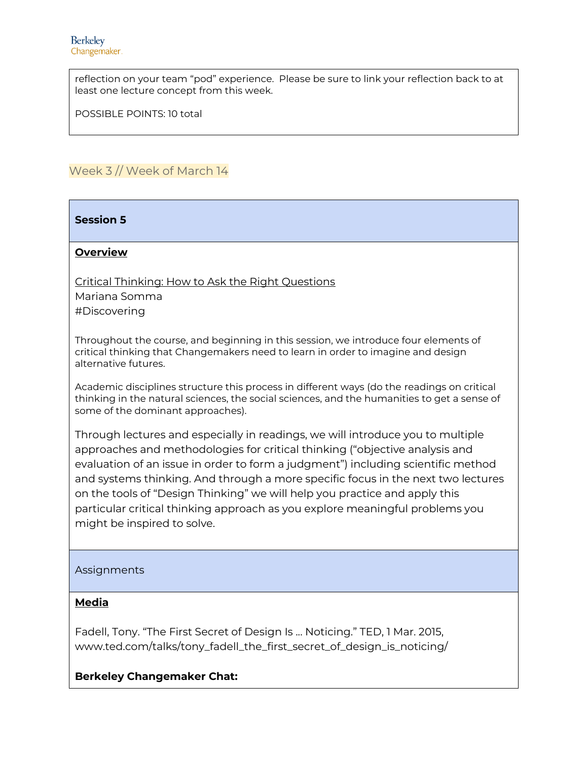reflection on your team "pod" experience. Please be sure to link your reflection back to at least one lecture concept from this week.

POSSIBLE POINTS: 10 total

## Week 3 // Week of March 14

**Session 5**

#### **Overview**

Critical Thinking: How to Ask the Right Questions

Mariana Somma #Discovering

Throughout the course, and beginning in this session, we introduce four elements of critical thinking that Changemakers need to learn in order to imagine and design alternative futures.

Academic disciplines structure this process in different ways (do the readings on critical thinking in the natural sciences, the social sciences, and the humanities to get a sense of some of the dominant approaches).

Through lectures and especially in readings, we will introduce you to multiple approaches and methodologies for critical thinking ("objective analysis and evaluation of an issue in order to form a judgment") including scientific method and systems thinking. And through a more specific focus in the next two lectures on the tools of "Design Thinking" we will help you practice and apply this particular critical thinking approach as you explore meaningful problems you might be inspired to solve.

#### Assignments

#### **Media**

Fadell, Tony. "The First Secret of Design Is ... Noticing." TED, 1 Mar. 2015, [www.ted.com/talks/tony\\_fadell\\_the\\_first\\_secret\\_of\\_design\\_is\\_noticing/](http://www.ted.com/talks/tony_fadell_the_first_secret_of_design_is_noticing/)

#### **Berkeley Changemaker Chat:**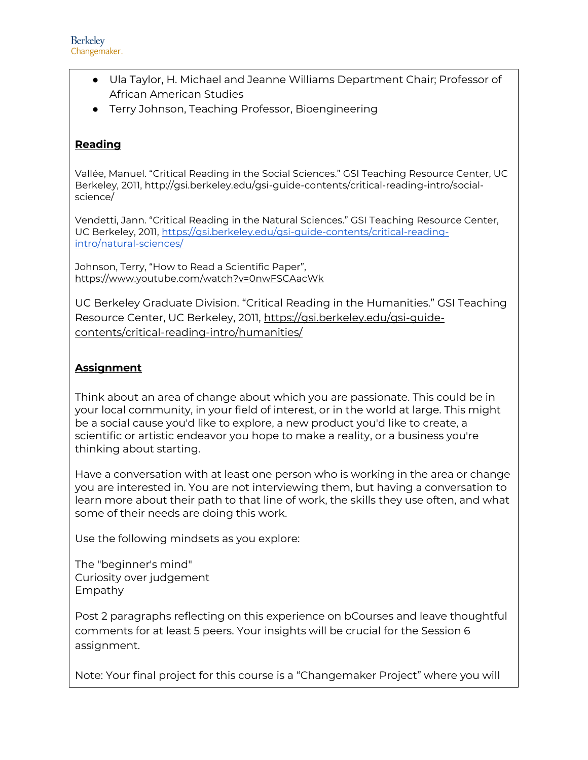- Ula Taylor, H. Michael and Jeanne Williams Department Chair; Professor of African American Studies
- Terry Johnson, Teaching Professor, Bioengineering

## **Reading**

Vallée, Manuel. "Critical Reading in the Social Sciences." GSI Teaching Resource Center, UC Berkeley, 2011, http://gsi.berkeley.edu/gsi-guide-contents/critical-reading-intro/socialscience/

Vendetti, Jann. "Critical Reading in the Natural Sciences." GSI Teaching Resource Center, UC Berkeley, 2011, [https://gsi.berkeley.edu/gsi-guide-contents/critical-reading](https://gsi.berkeley.edu/gsi-guide-contents/critical-reading-intro/natural-sciences/)[intro/natural-sciences/](https://gsi.berkeley.edu/gsi-guide-contents/critical-reading-intro/natural-sciences/)

Johnson, Terry, "How to Read a Scientific Paper", <https://www.youtube.com/watch?v=0nwFSCAacWk>

UC Berkeley Graduate Division. "Critical Reading in the Humanities." GSI Teaching Resource Center, UC Berkeley, 2011, [https://gsi.berkeley.edu/gsi-guide](https://gsi.berkeley.edu/gsi-guide-contents/critical-reading-intro/humanities/)[contents/critical-reading-intro/humanities/](https://gsi.berkeley.edu/gsi-guide-contents/critical-reading-intro/humanities/)

## **Assignment**

Think about an area of change about which you are passionate. This could be in your local community, in your field of interest, or in the world at large. This might be a social cause you'd like to explore, a new product you'd like to create, a scientific or artistic endeavor you hope to make a reality, or a business you're thinking about starting.

Have a conversation with at least one person who is working in the area or change you are interested in. You are not interviewing them, but having a conversation to learn more about their path to that line of work, the skills they use often, and what some of their needs are doing this work.

Use the following mindsets as you explore:

The "beginner's mind" Curiosity over judgement Empathy

Post 2 paragraphs reflecting on this experience on bCourses and leave thoughtful comments for at least 5 peers. Your insights will be crucial for the Session 6 assignment.

Note: Your final project for this course is a "Changemaker Project" where you will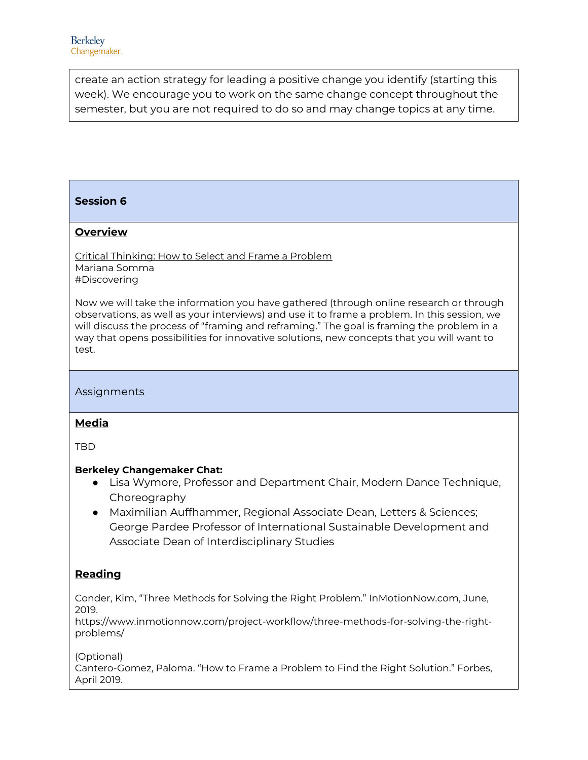create an action strategy for leading a positive change you identify (starting this week). We encourage you to work on the same change concept throughout the semester, but you are not required to do so and may change topics at any time.

## **Session 6**

#### **Overview**

Critical Thinking: How to Select and Frame a Problem Mariana Somma #Discovering

Now we will take the information you have gathered (through online research or through observations, as well as your interviews) and use it to frame a problem. In this session, we will discuss the process of "framing and reframing." The goal is framing the problem in a way that opens possibilities for innovative solutions, new concepts that you will want to test.

Assignments

#### **Media**

TBD

#### **Berkeley Changemaker Chat:**

- Lisa Wymore, Professor and Department Chair, Modern Dance Technique, Choreography
- Maximilian Auffhammer, Regional Associate Dean, Letters & Sciences; George Pardee Professor of International Sustainable Development and Associate Dean of Interdisciplinary Studies

## **Reading**

Conder, Kim, "Three Methods for Solving the Right Problem." InMotionNow.com, June, 2019.

https://www.inmotionnow.com/project-workflow/three-methods-for-solving-the-rightproblems/

(Optional)

Cantero-Gomez, Paloma. "How to Frame a Problem to Find the Right Solution." Forbes, April 2019.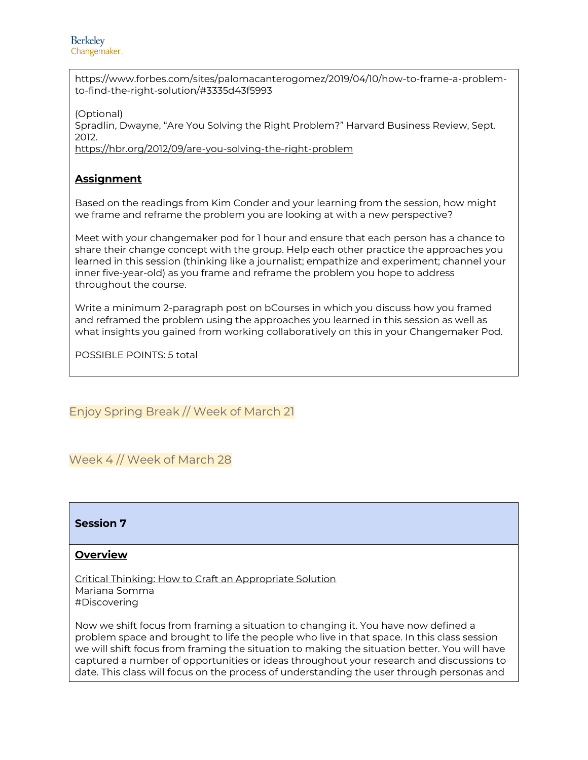https://www.forbes.com/sites/palomacanterogomez/2019/04/10/how-to-frame-a-problemto-find-the-right-solution/#3335d43f5993

(Optional) Spradlin, Dwayne, "Are You Solving the Right Problem?" Harvard Business Review, Sept. 2012. <https://hbr.org/2012/09/are-you-solving-the-right-problem>

## **Assignment**

Based on the readings from Kim Conder and your learning from the session, how might we frame and reframe the problem you are looking at with a new perspective?

Meet with your changemaker pod for 1 hour and ensure that each person has a chance to share their change concept with the group. Help each other practice the approaches you learned in this session (thinking like a journalist; empathize and experiment; channel your inner five-year-old) as you frame and reframe the problem you hope to address throughout the course.

Write a minimum 2-paragraph post on bCourses in which you discuss how you framed and reframed the problem using the approaches you learned in this session as well as what insights you gained from working collaboratively on this in your Changemaker Pod.

POSSIBLE POINTS: 5 total

Enjoy Spring Break // Week of March 21

Week 4 // Week of March 28



#### **Overview**

Critical Thinking: How to Craft an Appropriate Solution Mariana Somma #Discovering

Now we shift focus from framing a situation to changing it. You have now defined a problem space and brought to life the people who live in that space. In this class session we will shift focus from framing the situation to making the situation better. You will have captured a number of opportunities or ideas throughout your research and discussions to date. This class will focus on the process of understanding the user through personas and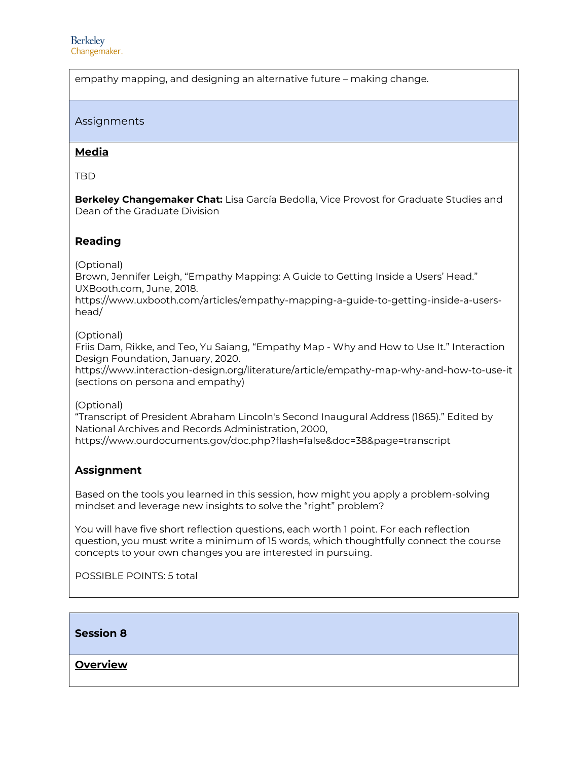empathy mapping, and designing an alternative future – making change.

#### Assignments

#### **Media**

TBD

**Berkeley Changemaker Chat:** Lisa García Bedolla, Vice Provost for Graduate Studies and Dean of the Graduate Division

#### **Reading**

(Optional)

Brown, Jennifer Leigh, "Empathy Mapping: A Guide to Getting Inside a Users' Head." UXBooth.com, June, 2018.

https://www.uxbooth.com/articles/empathy-mapping-a-guide-to-getting-inside-a-usershead/

(Optional)

Friis Dam, Rikke, and Teo, Yu Saiang, "Empathy Map - Why and How to Use It." Interaction Design Foundation, January, 2020.

https://www.interaction-design.org/literature/article/empathy-map-why-and-how-to-use-it (sections on persona and empathy)

(Optional)

"Transcript of President Abraham Lincoln's Second Inaugural Address (1865)." Edited by National Archives and Records Administration, 2000, https://www.ourdocuments.gov/doc.php?flash=false&doc=38&page=transcript

#### **Assignment**

Based on the tools you learned in this session, how might you apply a problem-solving mindset and leverage new insights to solve the "right" problem?

You will have five short reflection questions, each worth 1 point. For each reflection question, you must write a minimum of 15 words, which thoughtfully connect the course concepts to your own changes you are interested in pursuing.

POSSIBLE POINTS: 5 total

**Session 8**

**Overview**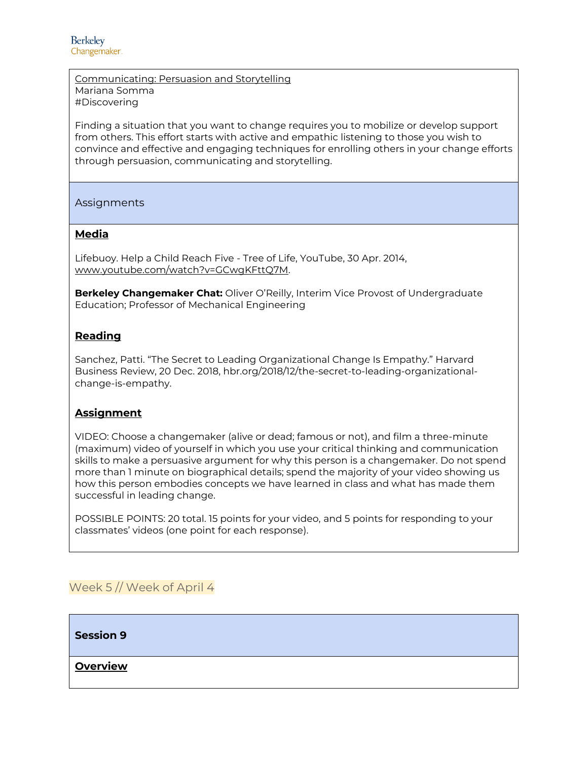Communicating: Persuasion and Storytelling Mariana Somma #Discovering

Finding a situation that you want to change requires you to mobilize or develop support from others. This effort starts with active and empathic listening to those you wish to convince and effective and engaging techniques for enrolling others in your change efforts through persuasion, communicating and storytelling.

Assignments

#### **Media**

Lifebuoy. Help a Child Reach Five - Tree of Life, YouTube, 30 Apr. 2014, [www.youtube.com/watch?v=GCwgKFttQ7M.](http://www.youtube.com/watch?v=GCwgKFttQ7M)

**Berkeley Changemaker Chat:** Oliver O'Reilly, Interim Vice Provost of Undergraduate Education; Professor of Mechanical Engineering

#### **Reading**

Sanchez, Patti. "The Secret to Leading Organizational Change Is Empathy." Harvard Business Review, 20 Dec. 2018, hbr.org/2018/12/the-secret-to-leading-organizationalchange-is-empathy.

#### **Assignment**

VIDEO: Choose a changemaker (alive or dead; famous or not), and film a three-minute (maximum) video of yourself in which you use your critical thinking and communication skills to make a persuasive argument for why this person is a changemaker. Do not spend more than 1 minute on biographical details; spend the majority of your video showing us how this person embodies concepts we have learned in class and what has made them successful in leading change.

POSSIBLE POINTS: 20 total. 15 points for your video, and 5 points for responding to your classmates' videos (one point for each response).

## Week 5 // Week of April 4

**Session 9**

**Overview**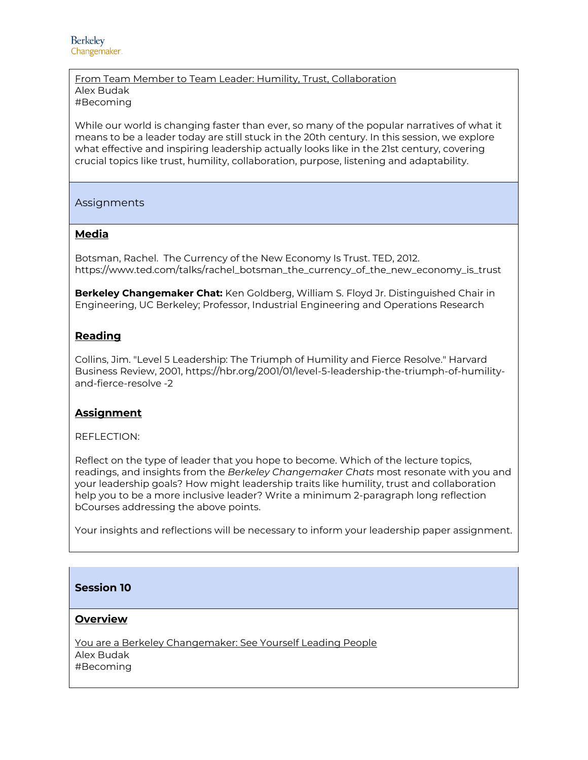#### From Team Member to Team Leader: Humility, Trust, Collaboration Alex Budak #Becoming

While our world is changing faster than ever, so many of the popular narratives of what it means to be a leader today are still stuck in the 20th century. In this session, we explore what effective and inspiring leadership actually looks like in the 21st century, covering crucial topics like trust, humility, collaboration, purpose, listening and adaptability.

Assignments

#### **Media**

Botsman, Rachel. The Currency of the New Economy Is Trust. TED, 2012. https://www.ted.com/talks/rachel\_botsman\_the\_currency\_of\_the\_new\_economy\_is\_trust

**Berkeley Changemaker Chat:** Ken Goldberg, William S. Floyd Jr. Distinguished Chair in Engineering, UC Berkeley; Professor, Industrial Engineering and Operations Research

#### **Reading**

Collins, Jim. "Level 5 Leadership: The Triumph of Humility and Fierce Resolve." Harvard Business Review, 2001, https://hbr.org/2001/01/level-5-leadership-the-triumph-of-humilityand-fierce-resolve -2

#### **Assignment**

REFLECTION:

Reflect on the type of leader that you hope to become. Which of the lecture topics, readings, and insights from the *Berkeley Changemaker Chats* most resonate with you and your leadership goals? How might leadership traits like humility, trust and collaboration help you to be a more inclusive leader? Write a minimum 2-paragraph long reflection bCourses addressing the above points.

Your insights and reflections will be necessary to inform your leadership paper assignment.

## **Session 10**

#### **Overview**

You are a Berkeley Changemaker: See Yourself Leading People Alex Budak #Becoming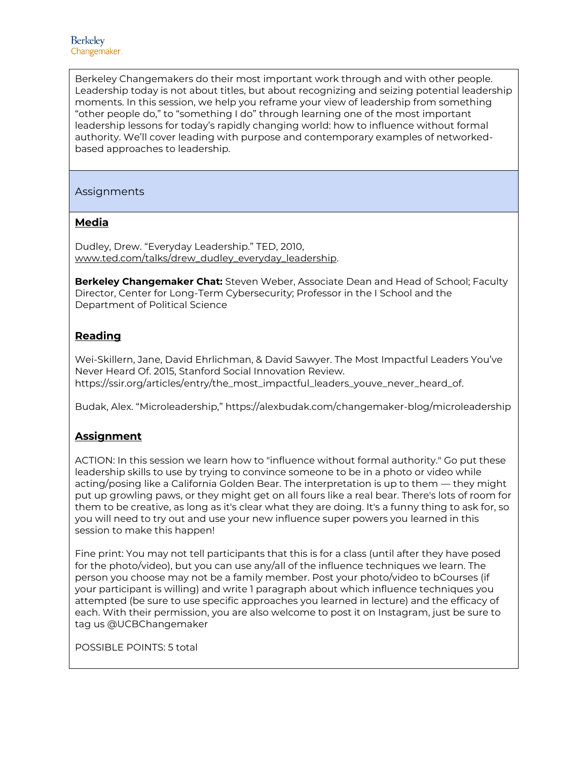Berkeley Changemakers do their most important work through and with other people. Leadership today is not about titles, but about recognizing and seizing potential leadership moments. In this session, we help you reframe your view of leadership from something "other people do," to "something I do" through learning one of the most important leadership lessons for today's rapidly changing world: how to influence without formal authority. We'll cover leading with purpose and contemporary examples of networkedbased approaches to leadership.

#### Assignments

#### **Media**

Dudley, Drew. "Everyday Leadership." TED, 2010, [www.ted.com/talks/drew\\_dudley\\_everyday\\_leadership.](http://www.ted.com/talks/drew_dudley_everyday_leadership)

**Berkeley Changemaker Chat:** Steven Weber, Associate Dean and Head of School; Faculty Director, Center for Long-Term Cybersecurity; Professor in the I School and the Department of Political Science

## **Reading**

Wei-Skillern, Jane, David Ehrlichman, & David Sawyer. The Most Impactful Leaders You've Never Heard Of. 2015, Stanford Social Innovation Review. https://ssir.org/articles/entry/the\_most\_impactful\_leaders\_youve\_never\_heard\_of.

Budak, Alex. "Microleadership," https://alexbudak.com/changemaker-blog/microleadership

## **Assignment**

ACTION: In this session we learn how to "influence without formal authority." Go put these leadership skills to use by trying to convince someone to be in a photo or video while acting/posing like a California Golden Bear. The interpretation is up to them — they might put up growling paws, or they might get on all fours like a real bear. There's lots of room for them to be creative, as long as it's clear what they are doing. It's a funny thing to ask for, so you will need to try out and use your new influence super powers you learned in this session to make this happen!

Fine print: You may not tell participants that this is for a class (until after they have posed for the photo/video), but you can use any/all of the influence techniques we learn. The person you choose may not be a family member. Post your photo/video to bCourses (if your participant is willing) and write 1 paragraph about which influence techniques you attempted (be sure to use specific approaches you learned in lecture) and the efficacy of each. With their permission, you are also welcome to post it on Instagram, just be sure to tag us @UCBChangemaker

POSSIBLE POINTS: 5 total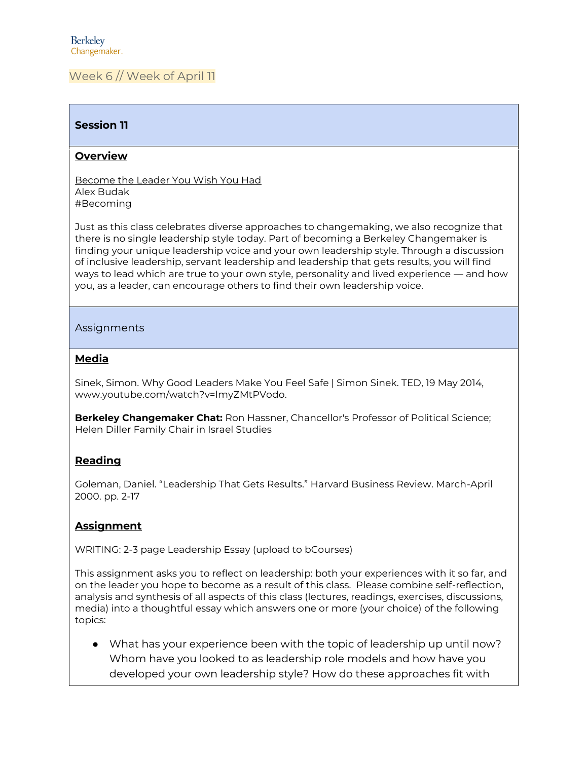## Week 6 // Week of April 11

#### **Session 11**

#### **Overview**

Become the Leader You Wish You Had Alex Budak #Becoming

Just as this class celebrates diverse approaches to changemaking, we also recognize that there is no single leadership style today. Part of becoming a Berkeley Changemaker is finding your unique leadership voice and your own leadership style. Through a discussion of inclusive leadership, servant leadership and leadership that gets results, you will find ways to lead which are true to your own style, personality and lived experience — and how you, as a leader, can encourage others to find their own leadership voice.

#### Assignments

#### **Media**

Sinek, Simon. Why Good Leaders Make You Feel Safe | Simon Sinek. TED, 19 May 2014, [www.youtube.com/watch?v=lmyZMtPVodo.](http://www.youtube.com/watch?v=lmyZMtPVodo)

**Berkeley Changemaker Chat:** Ron Hassner, Chancellor's Professor of Political Science; Helen Diller Family Chair in Israel Studies

#### **Reading**

Goleman, Daniel. "Leadership That Gets Results." Harvard Business Review. March-April 2000. pp. 2-17

## **Assignment**

WRITING: 2-3 page Leadership Essay (upload to bCourses)

This assignment asks you to reflect on leadership: both your experiences with it so far, and on the leader you hope to become as a result of this class. Please combine self-reflection, analysis and synthesis of all aspects of this class (lectures, readings, exercises, discussions, media) into a thoughtful essay which answers one or more (your choice) of the following topics:

● What has your experience been with the topic of leadership up until now? Whom have you looked to as leadership role models and how have you developed your own leadership style? How do these approaches fit with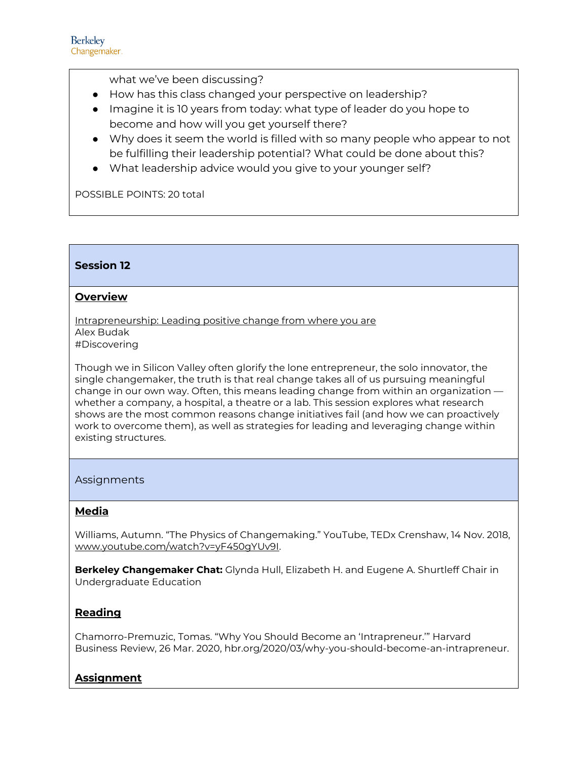what we've been discussing?

- How has this class changed your perspective on leadership?
- Imagine it is 10 years from today: what type of leader do you hope to become and how will you get yourself there?
- Why does it seem the world is filled with so many people who appear to not be fulfilling their leadership potential? What could be done about this?
- What leadership advice would you give to your younger self?

POSSIBLE POINTS: 20 total

## **Session 12**

#### **Overview**

Intrapreneurship: Leading positive change from where you are Alex Budak #Discovering

Though we in Silicon Valley often glorify the lone entrepreneur, the solo innovator, the single changemaker, the truth is that real change takes all of us pursuing meaningful change in our own way. Often, this means leading change from within an organization whether a company, a hospital, a theatre or a lab. This session explores what research shows are the most common reasons change initiatives fail (and how we can proactively work to overcome them), as well as strategies for leading and leveraging change within existing structures.

#### Assignments

## **Media**

Williams, Autumn. "The Physics of Changemaking." YouTube, TEDx Crenshaw, 14 Nov. 2018, [www.youtube.com/watch?v=yF450gYUv9I.](http://www.youtube.com/watch?v=yF450gYUv9I)

**Berkeley Changemaker Chat:** Glynda Hull, Elizabeth H. and Eugene A. Shurtleff Chair in Undergraduate Education

## **Reading**

Chamorro-Premuzic, Tomas. "Why You Should Become an 'Intrapreneur.'" Harvard Business Review, 26 Mar. 2020, hbr.org/2020/03/why-you-should-become-an-intrapreneur.

## **Assignment**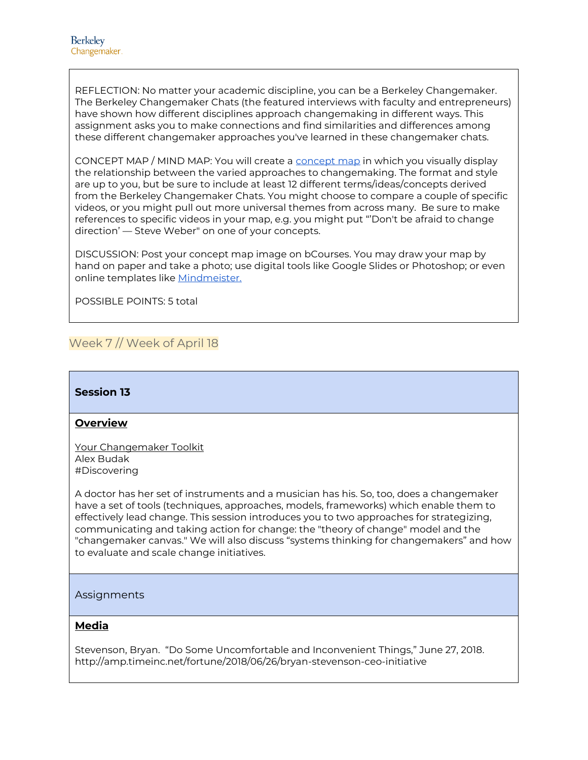REFLECTION: No matter your academic discipline, you can be a Berkeley Changemaker. The Berkeley Changemaker Chats (the featured interviews with faculty and entrepreneurs) have shown how different disciplines approach changemaking in different ways. This assignment asks you to make connections and find similarities and differences among these different changemaker approaches you've learned in these changemaker chats.

CONCEPT MAP / MIND MAP: You will create a [concept map](https://en.wikipedia.org/wiki/Concept_map) in which you visually display the relationship between the varied approaches to changemaking. The format and style are up to you, but be sure to include at least 12 different terms/ideas/concepts derived from the Berkeley Changemaker Chats. You might choose to compare a couple of specific videos, or you might pull out more universal themes from across many. Be sure to make references to specific videos in your map, e.g. you might put "'Don't be afraid to change direction' — Steve Weber" on one of your concepts.

DISCUSSION: Post your concept map image on bCourses. You may draw your map by hand on paper and take a photo; use digital tools like Google Slides or Photoshop; or even online templates like [Mindmeister.](https://www.mindmeister.com/345391632/concept-map)

POSSIBLE POINTS: 5 total

## Week 7 // Week of April 18

#### **Session 13**

#### **Overview**

Your Changemaker Toolkit Alex Budak #Discovering

A doctor has her set of instruments and a musician has his. So, too, does a changemaker have a set of tools (techniques, approaches, models, frameworks) which enable them to effectively lead change. This session introduces you to two approaches for strategizing, communicating and taking action for change: the "theory of change" model and the "changemaker canvas." We will also discuss "systems thinking for changemakers" and how to evaluate and scale change initiatives.

#### Assignments

#### **Media**

Stevenson, Bryan. "Do Some Uncomfortable and Inconvenient Things," June 27, 2018. http://amp.timeinc.net/fortune/2018/06/26/bryan-stevenson-ceo-initiative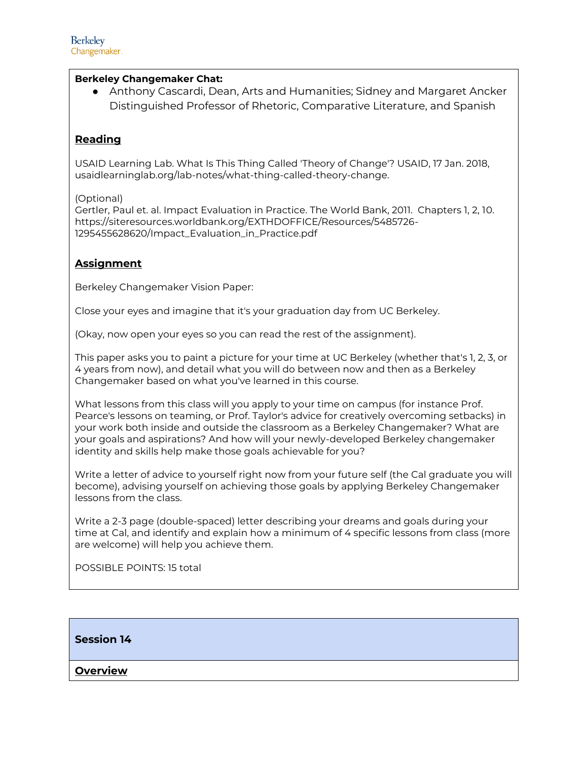#### **Berkeley Changemaker Chat:**

● Anthony Cascardi, Dean, Arts and Humanities; Sidney and Margaret Ancker Distinguished Professor of Rhetoric, Comparative Literature, and Spanish

## **Reading**

USAID Learning Lab. What Is This Thing Called 'Theory of Change'? USAID, 17 Jan. 2018, usaidlearninglab.org/lab-notes/what-thing-called-theory-change.

(Optional)

Gertler, Paul et. al. Impact Evaluation in Practice. The World Bank, 2011. Chapters 1, 2, 10. https://siteresources.worldbank.org/EXTHDOFFICE/Resources/5485726- 1295455628620/Impact\_Evaluation\_in\_Practice.pdf

## **Assignment**

Berkeley Changemaker Vision Paper:

Close your eyes and imagine that it's your graduation day from UC Berkeley.

(Okay, now open your eyes so you can read the rest of the assignment).

This paper asks you to paint a picture for your time at UC Berkeley (whether that's 1, 2, 3, or 4 years from now), and detail what you will do between now and then as a Berkeley Changemaker based on what you've learned in this course.

What lessons from this class will you apply to your time on campus (for instance Prof. Pearce's lessons on teaming, or Prof. Taylor's advice for creatively overcoming setbacks) in your work both inside and outside the classroom as a Berkeley Changemaker? What are your goals and aspirations? And how will your newly-developed Berkeley changemaker identity and skills help make those goals achievable for you?

Write a letter of advice to yourself right now from your future self (the Cal graduate you will become), advising yourself on achieving those goals by applying Berkeley Changemaker lessons from the class.

Write a 2-3 page (double-spaced) letter describing your dreams and goals during your time at Cal, and identify and explain how a minimum of 4 specific lessons from class (more are welcome) will help you achieve them.

POSSIBLE POINTS: 15 total

#### **Session 14**

#### **Overview**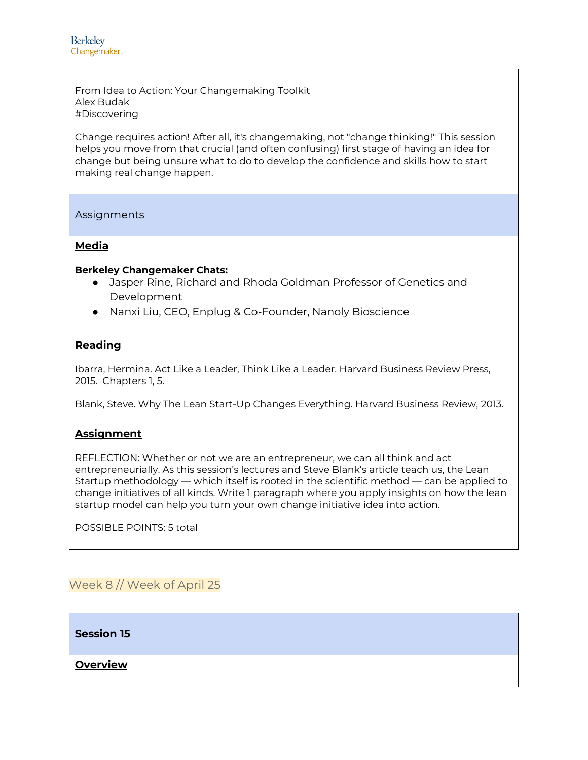From Idea to Action: Your Changemaking Toolkit Alex Budak #Discovering

Change requires action! After all, it's changemaking, not "change thinking!" This session helps you move from that crucial (and often confusing) first stage of having an idea for change but being unsure what to do to develop the confidence and skills how to start making real change happen.

Assignments

#### **Media**

#### **Berkeley Changemaker Chats:**

- Jasper Rine, Richard and Rhoda Goldman Professor of Genetics and Development
- Nanxi Liu, CEO, Enplug & Co-Founder, Nanoly Bioscience

#### **Reading**

Ibarra, Hermina. Act Like a Leader, Think Like a Leader. Harvard Business Review Press, 2015. Chapters 1, 5.

Blank, Steve. Why The Lean Start-Up Changes Everything. Harvard Business Review, 2013.

#### **Assignment**

REFLECTION: Whether or not we are an entrepreneur, we can all think and act entrepreneurially. As this session's lectures and Steve Blank's article teach us, the Lean Startup methodology — which itself is rooted in the scientific method — can be applied to change initiatives of all kinds. Write 1 paragraph where you apply insights on how the lean startup model can help you turn your own change initiative idea into action.

POSSIBLE POINTS: 5 total

## Week 8 // Week of April 25

**Session 15**

**Overview**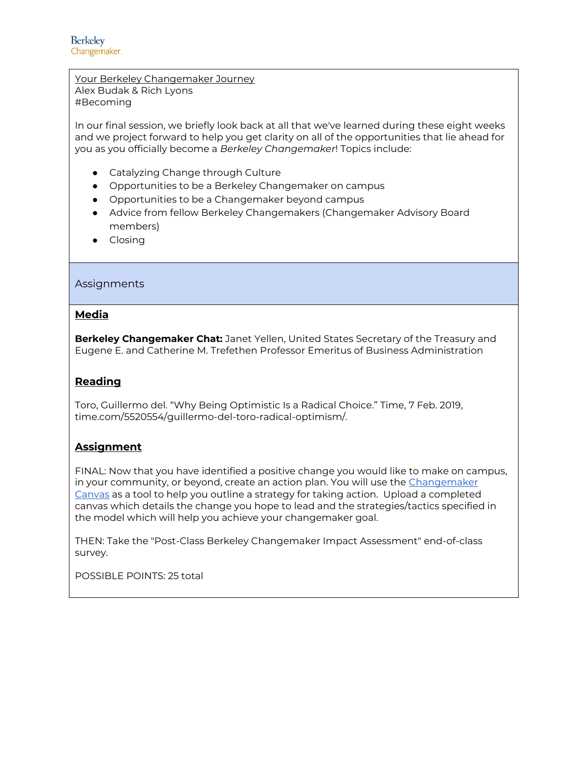Your Berkeley Changemaker Journey Alex Budak & Rich Lyons #Becoming

In our final session, we briefly look back at all that we've learned during these eight weeks and we project forward to help you get clarity on all of the opportunities that lie ahead for you as you officially become a *Berkeley Changemaker*! Topics include:

- Catalyzing Change through Culture
- Opportunities to be a Berkeley Changemaker on campus
- Opportunities to be a Changemaker beyond campus
- Advice from fellow Berkeley Changemakers (Changemaker Advisory Board members)
- Closing

#### **Assignments**

#### **Media**

**Berkeley Changemaker Chat:** Janet Yellen, United States Secretary of the Treasury and Eugene E. and Catherine M. Trefethen Professor Emeritus of Business Administration

#### **Reading**

Toro, Guillermo del. "Why Being Optimistic Is a Radical Choice." Time, 7 Feb. 2019, time.com/5520554/guillermo-del-toro-radical-optimism/.

#### **Assignment**

FINAL: Now that you have identified a positive change you would like to make on campus, in your community, or beyond, create an action plan. You will use the [Changemaker](http://alexbudak.com/canvas)  [Canvas](http://alexbudak.com/canvas) as a tool to help you outline a strategy for taking action. Upload a completed canvas which details the change you hope to lead and the strategies/tactics specified in the model which will help you achieve your changemaker goal.

THEN: Take the "Post-Class Berkeley Changemaker Impact Assessment" end-of-class survey.

POSSIBLE POINTS: 25 total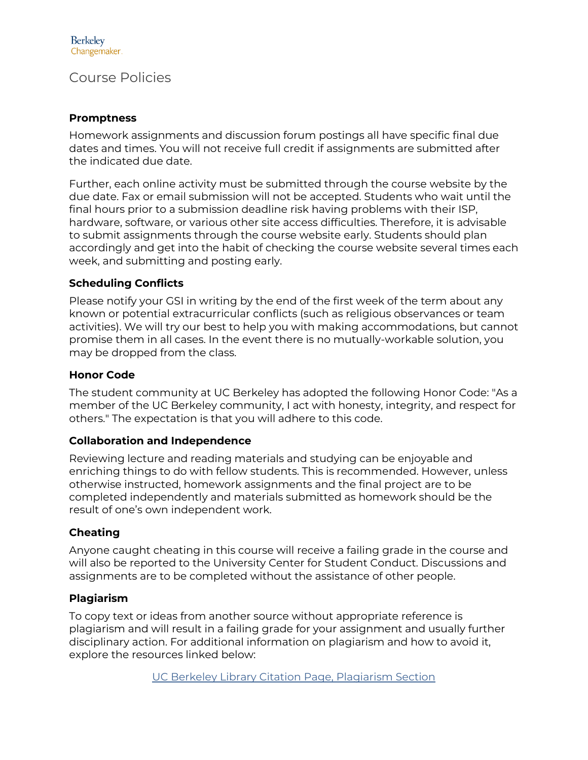## Course Policies

## **Promptness**

Homework assignments and discussion forum postings all have specific final due dates and times. You will not receive full credit if assignments are submitted after the indicated due date.

Further, each online activity must be submitted through the course website by the due date. Fax or email submission will not be accepted. Students who wait until the final hours prior to a submission deadline risk having problems with their ISP, hardware, software, or various other site access difficulties. Therefore, it is advisable to submit assignments through the course website early. Students should plan accordingly and get into the habit of checking the course website several times each week, and submitting and posting early.

## **Scheduling Conflicts**

Please notify your GSI in writing by the end of the first week of the term about any known or potential extracurricular conflicts (such as religious observances or team activities). We will try our best to help you with making accommodations, but cannot promise them in all cases. In the event there is no mutually-workable solution, you may be dropped from the class.

## **Honor Code**

The student community at UC Berkeley has adopted the following Honor Code: "As a member of the UC Berkeley community, I act with honesty, integrity, and respect for others." The expectation is that you will adhere to this code.

## **Collaboration and Independence**

Reviewing lecture and reading materials and studying can be enjoyable and enriching things to do with fellow students. This is recommended. However, unless otherwise instructed, homework assignments and the final project are to be completed independently and materials submitted as homework should be the result of one's own independent work.

## **Cheating**

Anyone caught cheating in this course will receive a failing grade in the course and will also be reported to the University Center for Student Conduct. Discussions and assignments are to be completed without the assistance of other people.

## **Plagiarism**

To copy text or ideas from another source without appropriate reference is plagiarism and will result in a failing grade for your assignment and usually further disciplinary action. For additional information on plagiarism and how to avoid it, explore the resources linked below:

[UC Berkeley Library Citation Page, Plagiarism Section](http://www.lib.berkeley.edu/instruct/guides/citations.html#Plagiarism)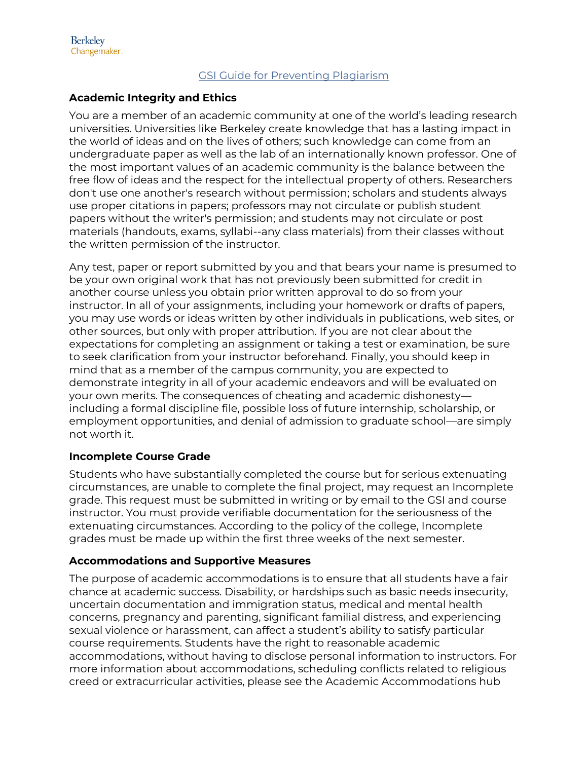## [GSI Guide for Preventing Plagiarism](http://gsi.berkeley.edu/teachingguide/misconduct/prevent-plag.html)

## **Academic Integrity and Ethics**

You are a member of an academic community at one of the world's leading research universities. Universities like Berkeley create knowledge that has a lasting impact in the world of ideas and on the lives of others; such knowledge can come from an undergraduate paper as well as the lab of an internationally known professor. One of the most important values of an academic community is the balance between the free flow of ideas and the respect for the intellectual property of others. Researchers don't use one another's research without permission; scholars and students always use proper citations in papers; professors may not circulate or publish student papers without the writer's permission; and students may not circulate or post materials (handouts, exams, syllabi--any class materials) from their classes without the written permission of the instructor.

Any test, paper or report submitted by you and that bears your name is presumed to be your own original work that has not previously been submitted for credit in another course unless you obtain prior written approval to do so from your instructor. In all of your assignments, including your homework or drafts of papers, you may use words or ideas written by other individuals in publications, web sites, or other sources, but only with proper attribution. If you are not clear about the expectations for completing an assignment or taking a test or examination, be sure to seek clarification from your instructor beforehand. Finally, you should keep in mind that as a member of the campus community, you are expected to demonstrate integrity in all of your academic endeavors and will be evaluated on your own merits. The consequences of cheating and academic dishonesty including a formal discipline file, possible loss of future internship, scholarship, or employment opportunities, and denial of admission to graduate school—are simply not worth it.

## **Incomplete Course Grade**

Students who have substantially completed the course but for serious extenuating circumstances, are unable to complete the final project, may request an Incomplete grade. This request must be submitted in writing or by email to the GSI and course instructor. You must provide verifiable documentation for the seriousness of the extenuating circumstances. According to the policy of the college, Incomplete grades must be made up within the first three weeks of the next semester.

## **Accommodations and Supportive Measures**

The purpose of academic accommodations is to ensure that all students have a fair chance at academic success. Disability, or hardships such as basic needs insecurity, uncertain documentation and immigration status, medical and mental health concerns, pregnancy and parenting, significant familial distress, and experiencing sexual violence or harassment, can affect a student's ability to satisfy particular course requirements. Students have the right to reasonable academic accommodations, without having to disclose personal information to instructors. For more information about accommodations, scheduling conflicts related to religious creed or extracurricular activities, please see the Academic Accommodations hub